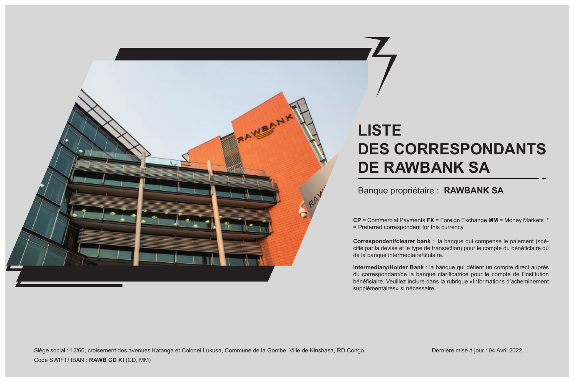

## **LISTE DES CORRESPONDANTS DE RAWBANK SA**

## Banque propriétaire : **RAWBANK SA**

**CP** = Commercial Payments **FX** = Foreign Exchange **MM** = Money Markets \* = Preferred correspondent for this currency

**Correspondent/clearer bank** : la banque qui compense le paiement (spécifié par la devise et le type de transaction) pour le compte du bénéficiaire ou de la banque intermédiaire/titulaire.

**Intermediary/Holder Bank** : la banque qui détient un compte direct auprès du correspondant/de la banque clarificatrice pour le compte de l'institution bénéficiaire. Veuillez inclure dans la rubrique «Informations d'acheminement supplémentaires» si nécessaire.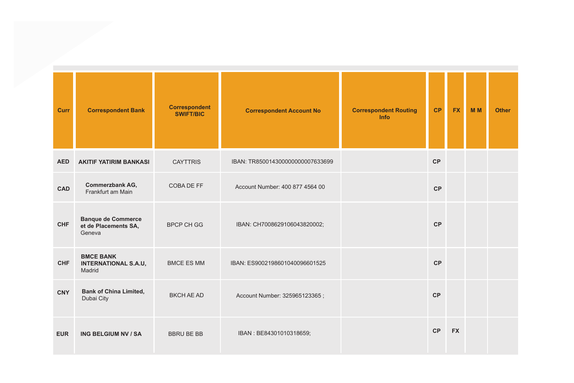| Curr       | <b>Correspondent Bank</b>                                   | <b>Correspondent</b><br><b>SWIFT/BIC</b> | <b>Correspondent Account No</b>  | <b>Correspondent Routing</b><br><b>Info</b> | <b>CP</b> | <b>FX</b> | <b>MM</b> | <b>Other</b> |
|------------|-------------------------------------------------------------|------------------------------------------|----------------------------------|---------------------------------------------|-----------|-----------|-----------|--------------|
| <b>AED</b> | <b>AKITIF YATIRIM BANKASI</b>                               | <b>CAYTTRIS</b>                          | IBAN: TR850014300000000007633699 |                                             | CP        |           |           |              |
| CAD        | Commerzbank AG,<br>Frankfurt am Main                        | COBA DE FF                               | Account Number: 400 877 4564 00  |                                             | <b>CP</b> |           |           |              |
| CHF        | <b>Banque de Commerce</b><br>et de Placements SA,<br>Geneva | <b>BPCP CH GG</b>                        | IBAN: CH7008629106043820002;     |                                             | <b>CP</b> |           |           |              |
| <b>CHF</b> | <b>BMCE BANK</b><br><b>INTERNATIONAL S.A.U,</b><br>Madrid   | <b>BMCE ES MM</b>                        | IBAN: ES9002198601040096601525   |                                             | <b>CP</b> |           |           |              |
| CNY        | <b>Bank of China Limited,</b><br>Dubai City                 | <b>BKCH AE AD</b>                        | Account Number: 325965123365;    |                                             | CP        |           |           |              |
| <b>EUR</b> | ING BELGIUM NV / SA                                         | <b>BBRU BE BB</b>                        | IBAN: BE84301010318659;          |                                             | CP        | <b>FX</b> |           |              |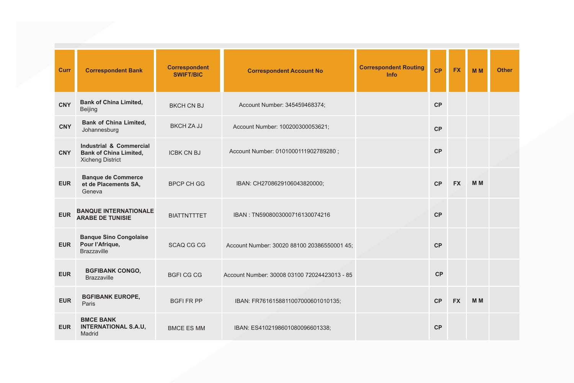| Curr       | <b>Correspondent Bank</b>                                                           | <b>Correspondent</b><br><b>SWIFT/BIC</b> | <b>Correspondent Account No</b>              | <b>Correspondent Routing</b><br><b>Info</b> | <b>CP</b> | <b>FX</b> | <b>MM</b>      | <b>Other</b> |
|------------|-------------------------------------------------------------------------------------|------------------------------------------|----------------------------------------------|---------------------------------------------|-----------|-----------|----------------|--------------|
| <b>CNY</b> | <b>Bank of China Limited,</b><br>Beijing                                            | <b>BKCH CN BJ</b>                        | Account Number: 345459468374;                |                                             | CP        |           |                |              |
| <b>CNY</b> | <b>Bank of China Limited,</b><br>Johannesburg                                       | BKCH ZA JJ                               | Account Number: 100200300053621;             |                                             | CP        |           |                |              |
| <b>CNY</b> | Industrial & Commercial<br><b>Bank of China Limited,</b><br><b>Xicheng District</b> | <b>ICBK CN BJ</b>                        | Account Number: 0101000111902789280;         |                                             | CP        |           |                |              |
| <b>EUR</b> | <b>Banque de Commerce</b><br>et de Placements SA,<br>Geneva                         | <b>BPCP CH GG</b>                        | IBAN: CH2708629106043820000;                 |                                             | CP        | <b>FX</b> | <b>MM</b>      |              |
| <b>EUR</b> | <b>BANQUE INTERNATIONALE</b><br><b>ARABE DE TUNISIE</b>                             | <b>BIATTNTTTET</b>                       | IBAN: TN5908003000716130074216               |                                             | CP        |           |                |              |
| EUR        | <b>Banque Sino Congolaise</b><br>Pour l'Afrique,<br><b>Brazzaville</b>              | <b>SCAQ CG CG</b>                        | Account Number: 30020 88100 20386550001 45:  |                                             | CP        |           |                |              |
| <b>EUR</b> | <b>BGFIBANK CONGO,</b><br><b>Brazzaville</b>                                        | <b>BGFICGCG</b>                          | Account Number: 30008 03100 72024423013 - 85 |                                             | CP        |           |                |              |
| <b>EUR</b> | <b>BGFIBANK EUROPE,</b><br>Paris                                                    | <b>BGFI FR PP</b>                        | IBAN: FR7616158811007000601010135;           |                                             | CP        | <b>FX</b> | M <sub>M</sub> |              |
| <b>EUR</b> | <b>BMCE BANK</b><br><b>INTERNATIONAL S.A.U.</b><br>Madrid                           | <b>BMCE ES MM</b>                        | IBAN: ES4102198601080096601338;              |                                             | <b>CP</b> |           |                |              |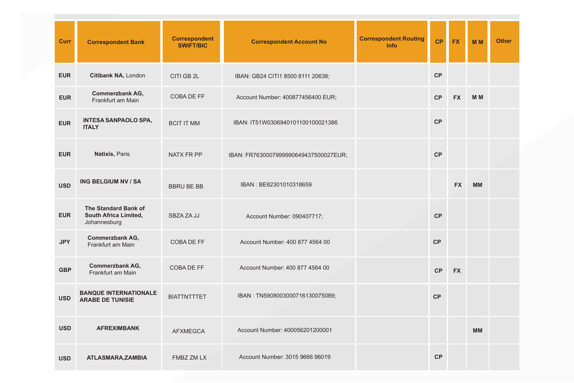| Curr       | <b>Correspondent Bank</b>                                     | <b>Correspondent</b><br><b>SWIFT/BIC</b> | <b>Correspondent Account No</b>       | <b>Correspondent Routing</b><br>Info | <b>CP</b> | <b>FX</b> | <b>MM</b>      | <b>Other</b> |
|------------|---------------------------------------------------------------|------------------------------------------|---------------------------------------|--------------------------------------|-----------|-----------|----------------|--------------|
| <b>EUR</b> | Citibank NA, London                                           | CITI GB 2L                               | IBAN: GB24 CITI1 8500 8111 20638;     |                                      | <b>CP</b> |           |                |              |
| <b>EUR</b> | Commerzbank AG,<br>Frankfurt am Main                          | COBA DE FF                               | Account Number: 400877456400 EUR;     |                                      | CP        | <b>FX</b> | M <sub>M</sub> |              |
| <b>EUR</b> | <b>INTESA SANPAOLO SPA,</b><br><b>ITALY</b>                   | <b>BCIT IT MM</b>                        | IBAN: IT51W0306940101100100021386     |                                      | <b>CP</b> |           |                |              |
| <b>EUR</b> | Natixis, Paris                                                | NATX FR PP                               | IBAN: FR7630007999990649437500027EUR; |                                      | <b>CP</b> |           |                |              |
| <b>USD</b> | ING BELGIUM NV / SA                                           | <b>BBRU BE BB</b>                        | IBAN: BE82301010318659                |                                      |           | <b>FX</b> | <b>MM</b>      |              |
| <b>EUR</b> | The Standard Bank of<br>South Africa Limited,<br>Johannesburg | <b>SBZAZAJJ</b>                          | Account Number: 090407717;            |                                      | <b>CP</b> |           |                |              |
| <b>JPY</b> | Commerzbank AG,<br>Frankfurt am Main                          | COBA DE FF                               | Account Number: 400 877 4564 00       |                                      | <b>CP</b> |           |                |              |
| <b>GBP</b> | Commerzbank AG,<br>Frankfurt am Main                          | COBA DE FF                               | Account Number: 400 877 4564 00       |                                      | <b>CP</b> | <b>FX</b> |                |              |
| <b>USD</b> | <b>BANQUE INTERNATIONALE</b><br><b>ARABE DE TUNISIE</b>       | <b>BIATTNTTTET</b>                       | IBAN: TN5908003000716130075089;       |                                      | <b>CP</b> |           |                |              |
| <b>USD</b> | <b>AFREXIMBANK</b>                                            | <b>AFXMEGCA</b>                          | Account Number: 400056201200001       |                                      |           |           | <b>MM</b>      |              |
| <b>USD</b> | ATLASMARA, ZAMBIA                                             | FMBZ ZM LX                               | Account Number: 3015 9666 96019       |                                      | <b>CP</b> |           |                |              |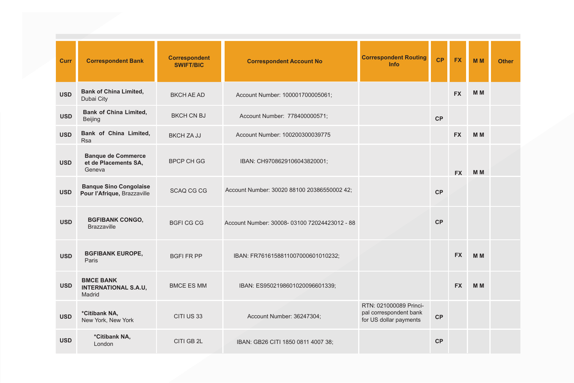| Curr       | <b>Correspondent Bank</b>                                    | <b>Correspondent</b><br><b>SWIFT/BIC</b> | <b>Correspondent Account No</b>              | <b>Correspondent Routing</b><br>Info                                       | <b>CP</b> | <b>FX</b> | <b>MM</b>      | <b>Other</b> |
|------------|--------------------------------------------------------------|------------------------------------------|----------------------------------------------|----------------------------------------------------------------------------|-----------|-----------|----------------|--------------|
| <b>USD</b> | <b>Bank of China Limited,</b><br>Dubai City                  | <b>BKCH AE AD</b>                        | Account Number: 100001700005061;             |                                                                            |           | <b>FX</b> | M <sub>M</sub> |              |
| <b>USD</b> | <b>Bank of China Limited.</b><br>Beijing                     | <b>BKCH CN BJ</b>                        | Account Number: 778400000571;                |                                                                            | CP        |           |                |              |
| <b>USD</b> | Bank of China Limited,<br><b>Rsa</b>                         | BKCH ZA JJ                               | Account Number: 100200300039775              |                                                                            |           | <b>FX</b> | M <sub>M</sub> |              |
| <b>USD</b> | <b>Banque de Commerce</b><br>et de Placements SA,<br>Geneva  | BPCP CH GG                               | IBAN: CH9708629106043820001;                 |                                                                            |           | <b>FX</b> | M <sub>M</sub> |              |
| <b>USD</b> | <b>Banque Sino Congolaise</b><br>Pour l'Afrique, Brazzaville | <b>SCAQ CG CG</b>                        | Account Number: 30020 88100 20386550002 42;  |                                                                            | <b>CP</b> |           |                |              |
| <b>USD</b> | <b>BGFIBANK CONGO,</b><br><b>Brazzaville</b>                 | <b>BGFICGCG</b>                          | Account Number: 30008-03100 72024423012 - 88 |                                                                            | <b>CP</b> |           |                |              |
| <b>USD</b> | <b>BGFIBANK EUROPE,</b><br>Paris                             | <b>BGFI FR PP</b>                        | IBAN: FR7616158811007000601010232;           |                                                                            |           | <b>FX</b> | M <sub>M</sub> |              |
| <b>USD</b> | <b>BMCE BANK</b><br><b>INTERNATIONAL S.A.U,</b><br>Madrid    | <b>BMCE ES MM</b>                        | IBAN: ES9502198601020096601339;              |                                                                            |           | <b>FX</b> | M <sub>M</sub> |              |
| <b>USD</b> | *Citibank NA,<br>New York, New York                          | CITI US 33                               | Account Number: 36247304;                    | RTN: 021000089 Princi-<br>pal correspondent bank<br>for US dollar payments | CP        |           |                |              |
| <b>USD</b> | *Citibank NA,<br>London                                      | CITI GB 2L                               | IBAN: GB26 CITI 1850 0811 4007 38;           |                                                                            | <b>CP</b> |           |                |              |